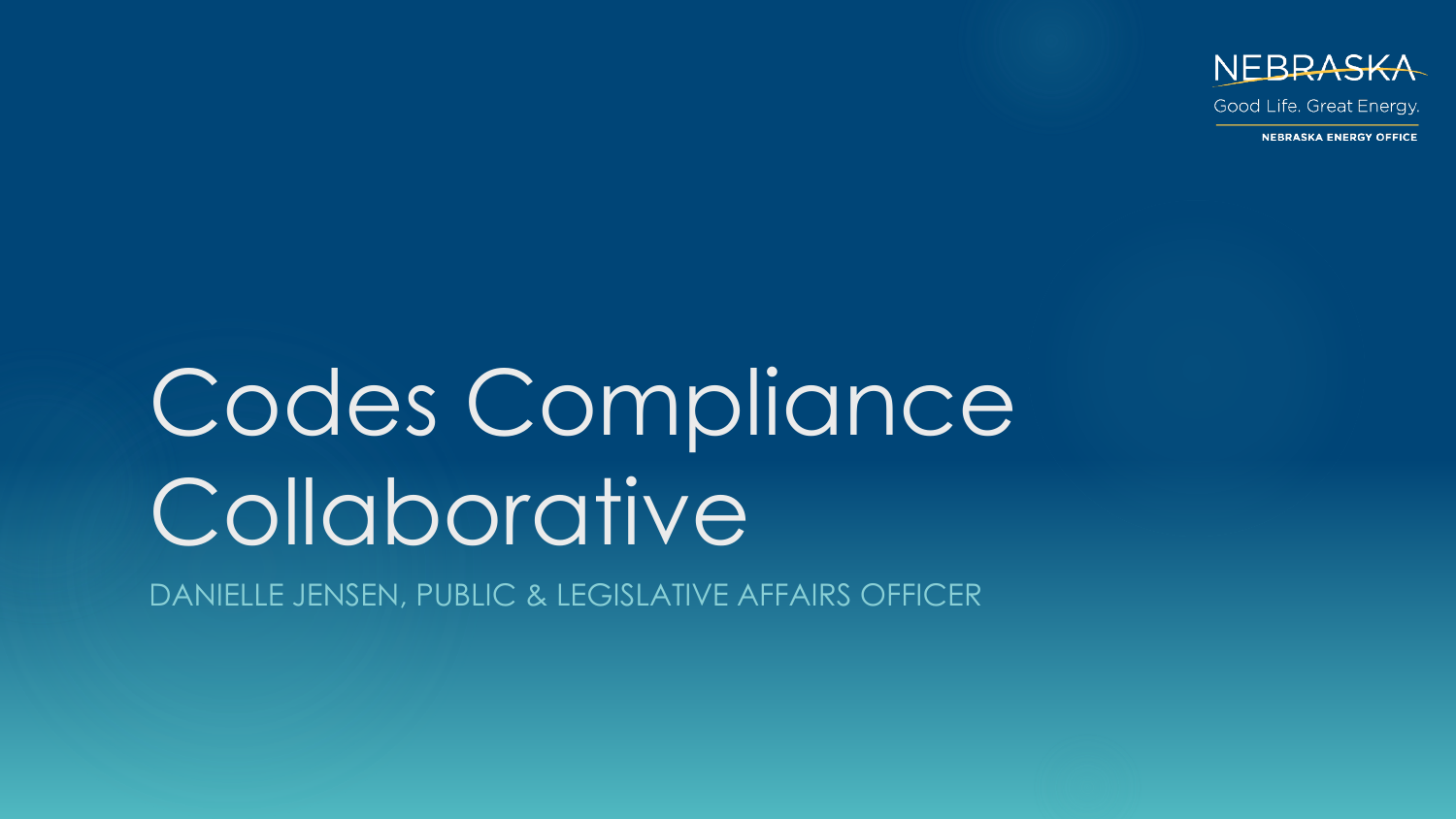

Good Life. Great Energy.

**NEBRASKA ENERGY OFFICE** 

# Codes Compliance Collaborative

DANIELLE JENSEN, PUBLIC & LEGISLATIVE AFFAIRS OFFICER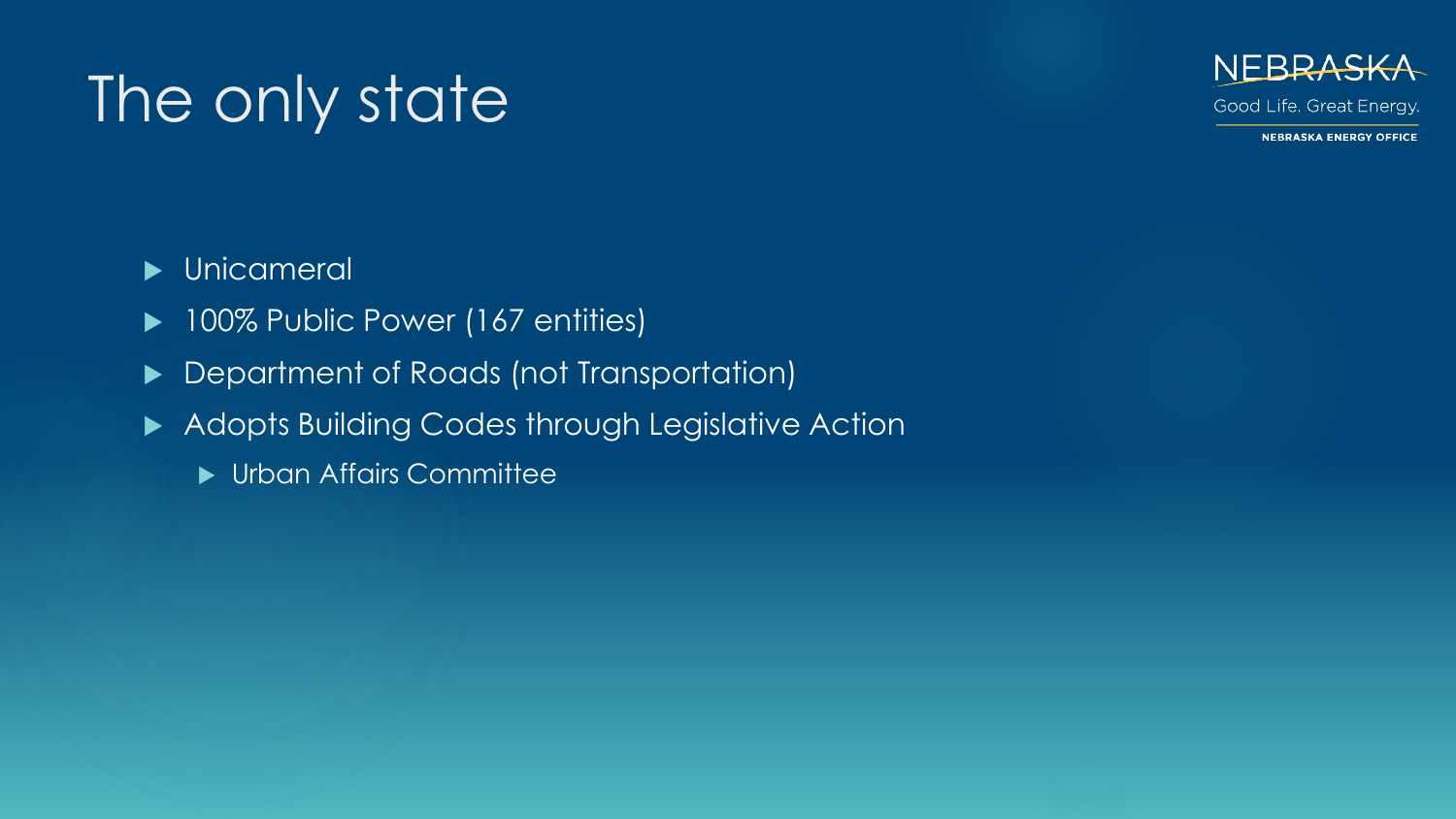### The only state



Good Life. Great Energy.

**NEBRASKA ENERGY OFFICE** 

- **Dela** Unicameral
- ▶ 100% Public Power (167 entities)
- ▶ Department of Roads (not Transportation)
- Adopts Building Codes through Legislative Action
	- **In Urban Affairs Committee**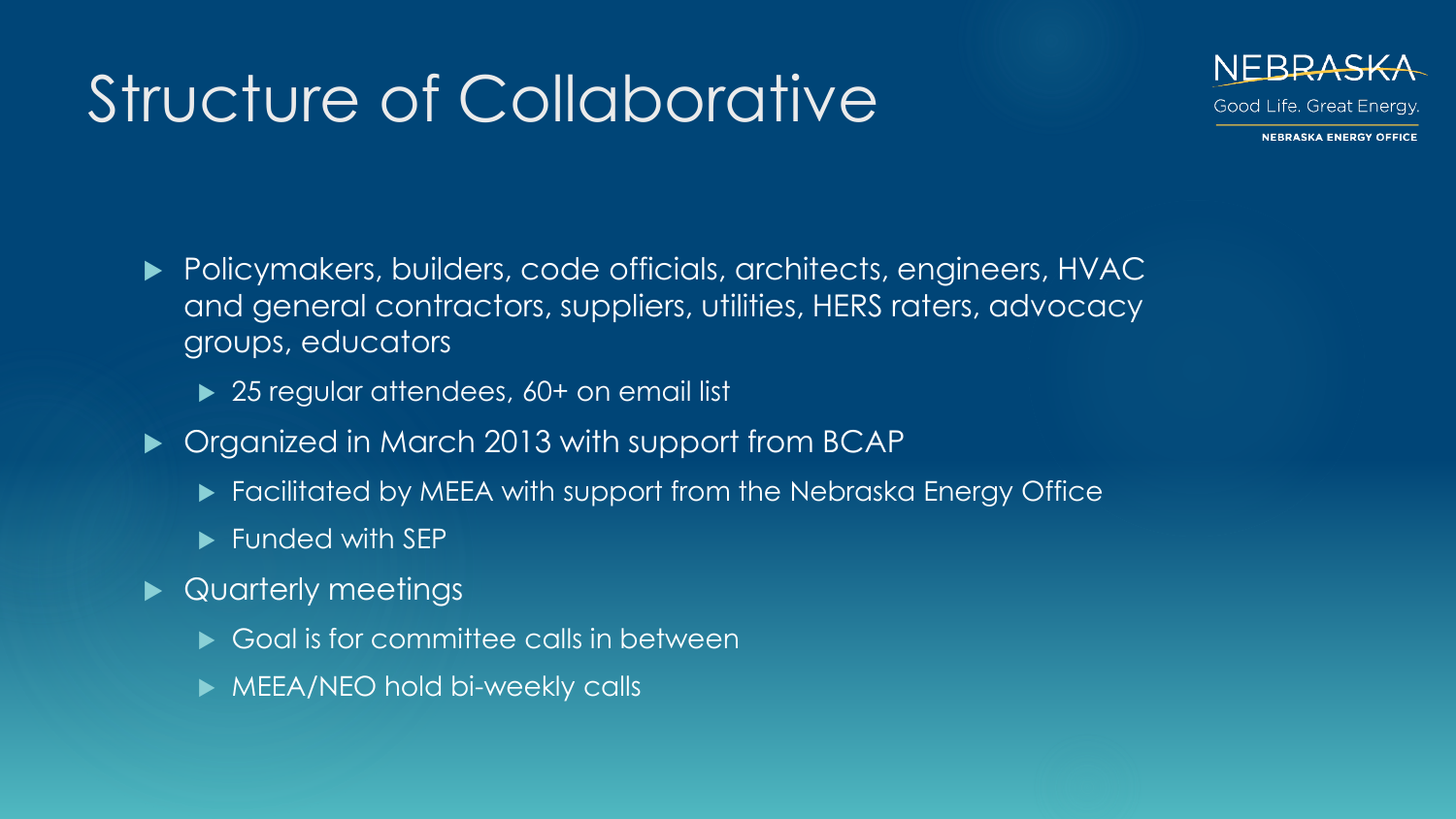### Structure of Collaborative



- Policymakers, builders, code officials, architects, engineers, HVAC and general contractors, suppliers, utilities, HERS raters, advocacy groups, educators
	- ▶ 25 regular attendees, 60+ on email list
- ▶ Organized in March 2013 with support from BCAP
	- ▶ Facilitated by MEEA with support from the Nebraska Energy Office
	- **Funded with SEP**
- ▶ Quarterly meetings
	- Goal is for committee calls in between
	- **MEEA/NEO hold bi-weekly calls**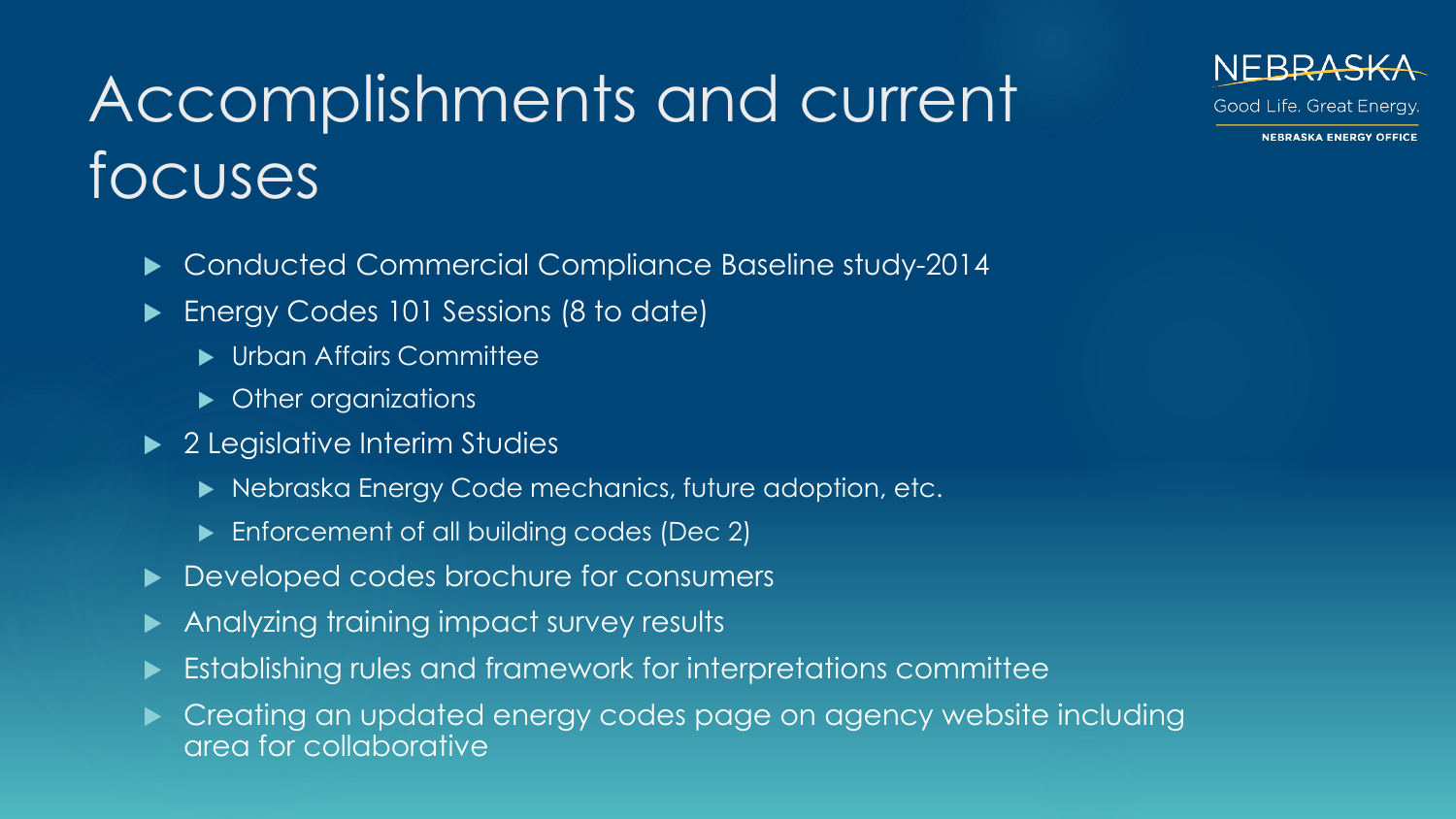## Accomplishments and current focuses

Good Life. Great Energy.

**NEBRASKA ENERGY OFFICE** 

- ▶ Conducted Commercial Compliance Baseline study-2014
- **Energy Codes 101 Sessions (8 to date)** 
	- **In Urban Affairs Committee**
	- Other organizations
- ▶ 2 Legislative Interim Studies
	- ▶ Nebraska Energy Code mechanics, future adoption, etc.
	- **Enforcement of all building codes (Dec 2)**
- Developed codes brochure for consumers
- Analyzing training impact survey results
- Establishing rules and framework for interpretations committee
- Creating an updated energy codes page on agency website including area for collaborative